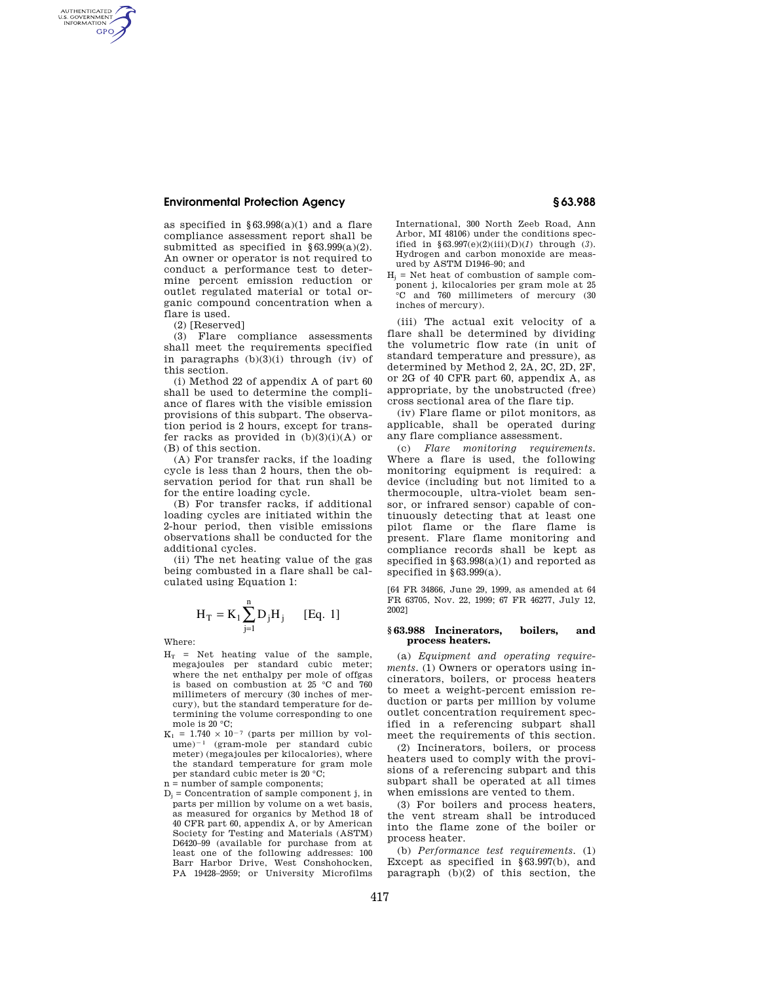## **Environmental Protection Agency § 63.988**

as specified in  $§63.998(a)(1)$  and a flare compliance assessment report shall be submitted as specified in  $§ 63.999(a)(2)$ . An owner or operator is not required to conduct a performance test to determine percent emission reduction or outlet regulated material or total organic compound concentration when a flare is used.

(2) [Reserved]

AUTHENTICATED<br>U.S. GOVERNMENT<br>INFORMATION **GPO** 

> (3) Flare compliance assessments shall meet the requirements specified in paragraphs (b)(3)(i) through (iv) of this section.

> (i) Method 22 of appendix A of part 60 shall be used to determine the compliance of flares with the visible emission provisions of this subpart. The observation period is 2 hours, except for transfer racks as provided in (b)(3)(i)(A) or (B) of this section.

> (A) For transfer racks, if the loading cycle is less than 2 hours, then the observation period for that run shall be for the entire loading cycle.

> (B) For transfer racks, if additional loading cycles are initiated within the 2-hour period, then visible emissions observations shall be conducted for the additional cycles.

> (ii) The net heating value of the gas being combusted in a flare shall be calculated using Equation 1:

$$
H_T = K_1 \sum_{j=1}^{n} D_j H_j
$$
 [Eq. 1]

Where:

- $H_T$  = Net heating value of the sample, megajoules per standard cubic meter; where the net enthalpy per mole of offgas is based on combustion at 25 °C and 760 millimeters of mercury (30 inches of mercury), but the standard temperature for determining the volume corresponding to one mole is 20 °C;
- $K_1 = 1.740 \times 10^{-7}$  (parts per million by vol $ume)^{-1}$  (gram-mole per standard cubic meter) (megajoules per kilocalories), where the standard temperature for gram mole per standard cubic meter is 20 °C;

n = number of sample components;

 $D_i$  = Concentration of sample component *i*, in parts per million by volume on a wet basis, as measured for organics by Method 18 of 40 CFR part 60, appendix A, or by American Society for Testing and Materials (ASTM) D6420–99 (available for purchase from at least one of the following addresses: 100 Barr Harbor Drive, West Conshohocken, PA 19428–2959; or University Microfilms International, 300 North Zeeb Road, Ann Arbor, MI 48106) under the conditions specified in §63.997(e)(2)(iii)(D)(*1*) through (*3*). Hydrogen and carbon monoxide are measured by ASTM D1946–90; and

 $H_i$  = Net heat of combustion of sample component j, kilocalories per gram mole at 25 °C and 760 millimeters of mercury (30 inches of mercury).

(iii) The actual exit velocity of a flare shall be determined by dividing the volumetric flow rate (in unit of standard temperature and pressure), as determined by Method 2, 2A, 2C, 2D, 2F, or 2G of 40 CFR part 60, appendix A, as appropriate, by the unobstructed (free) cross sectional area of the flare tip.

(iv) Flare flame or pilot monitors, as applicable, shall be operated during any flare compliance assessment.

(c) *Flare monitoring requirements.*  Where a flare is used, the following monitoring equipment is required: a device (including but not limited to a thermocouple, ultra-violet beam sensor, or infrared sensor) capable of continuously detecting that at least one pilot flame or the flare flame is present. Flare flame monitoring and compliance records shall be kept as specified in §63.998(a)(1) and reported as specified in  $§63.999(a)$ .

[64 FR 34866, June 29, 1999, as amended at 64 FR 63705, Nov. 22, 1999; 67 FR 46277, July 12, 2002]

#### **§ 63.988 Incinerators, boilers, and process heaters.**

(a) *Equipment and operating requirements.* (1) Owners or operators using incinerators, boilers, or process heaters to meet a weight-percent emission reduction or parts per million by volume outlet concentration requirement specified in a referencing subpart shall meet the requirements of this section.

(2) Incinerators, boilers, or process heaters used to comply with the provisions of a referencing subpart and this subpart shall be operated at all times when emissions are vented to them.

(3) For boilers and process heaters, the vent stream shall be introduced into the flame zone of the boiler or process heater.

(b) *Performance test requirements.* (1) Except as specified in §63.997(b), and paragraph (b)(2) of this section, the